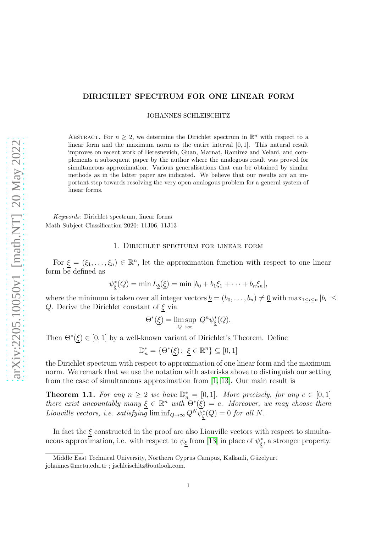## DIRICHLET SPECTRUM FOR ONE LINEAR FORM

JOHANNES SCHLEISCHITZ

ABSTRACT. For  $n \geq 2$ , we determine the Dirichlet spectrum in  $\mathbb{R}^n$  with respect to a linear form and the maximum norm as the entire interval [0, 1]. This natural result improves on recent work of Beresnevich, Guan, Marnat, Ramírez and Velani, and complements a subsequent paper by the author where the analogous result was proved for simultaneous approximation. Various generalisations that can be obtained by similar methods as in the latter paper are indicated. We believe that our results are an important step towards resolving the very open analogous problem for a general system of linear forms.

*Keywords*: Dirichlet spectrum, linear forms Math Subject Classification 2020: 11J06, 11J13

## 1. Dirichlet specturm for linear form

For  $\xi = (\xi_1, \ldots, \xi_n) \in \mathbb{R}^n$ , let the approximation function with respect to one linear form be defined as

$$
\psi_{\underline{\xi}}^*(Q) = \min L_{\underline{b}}(\underline{\xi}) = \min |b_0 + b_1 \xi_1 + \dots + b_n \xi_n|,
$$

where the minimum is taken over all integer vectors  $\underline{b} = (b_0, \ldots, b_n) \neq \underline{0}$  with  $\max_{1 \leq i \leq n} |b_i| \leq$ Q. Derive the Dirichlet constant of  $\xi$  via

$$
\Theta^*(\underline{\xi}) = \limsup_{Q \to \infty} Q^n \psi_{\underline{\xi}}^*(Q).
$$

Then  $\Theta^*(\xi) \in [0,1]$  by a well-known variant of Dirichlet's Theorem. Define

$$
\mathbb{D}_n^* = \{ \Theta^*(\underline{\xi}) \colon \underline{\xi} \in \mathbb{R}^n \} \subseteq [0, 1]
$$

the Dirichlet spectrum with respect to approximation of one linear form and the maximum norm. We remark that we use the notation with asterisks above to distinguish our setting from the case of simultaneous approximation from [\[1,](#page-7-0) [13\]](#page-7-1). Our main result is

<span id="page-0-0"></span>**Theorem 1.1.** For any  $n \geq 2$  we have  $\mathbb{D}_n^* = [0,1]$ . More precisely, for any  $c \in [0,1]$ there exist uncountably many  $\xi \in \mathbb{R}^n$  with  $\Theta^*(\xi) = c$ . Moreover, we may choose them Liouville vectors, i.e. satisfying  $\liminf_{Q\to\infty} Q^N \psi_{\xi}^*(Q) = 0$  for all N.

In fact the  $\xi$  constructed in the proof are also Liouville vectors with respect to simultaneous approximation, i.e. with respect to  $\psi_{\xi}$  from [\[13\]](#page-7-1) in place of  $\psi_{\xi}^{*}$ , a stronger property.

Middle East Technical University, Northern Cyprus Campus, Kalkanli, Güzelyurt johannes@metu.edu.tr ; jschleischitz@outlook.com.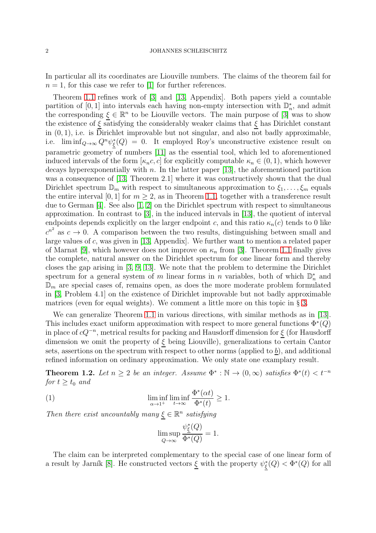In particular all its coordinates are Liouville numbers. The claims of the theorem fail for  $n = 1$ , for this case we refer to [\[1\]](#page-7-0) for further references.

Theorem [1.1](#page-0-0) refines work of [\[3\]](#page-7-2) and [\[13,](#page-7-1) Appendix]. Both papers yield a countable partition of [0, 1] into intervals each having non-empty intersection with  $\mathbb{D}_n^*$ , and admit the corresponding  $\xi \in \mathbb{R}^n$  to be Liouville vectors. The main purpose of [\[3\]](#page-7-2) was to show the existence of  $\xi$  satisfying the considerably weaker claims that  $\xi$  has Dirichlet constant in (0, 1), i.e. is Dirichlet improvable but not singular, and also not badly approximable, i.e.  $\liminf_{Q\to\infty} Q^n \psi_{\xi}^*(Q) = 0$ . It employed Roy's unconstructive existence result on parametric geometry of numbers [\[11\]](#page-7-3) as the essential tool, which led to aforementioned induced intervals of the form  $[\kappa_n c, c]$  for explicitly computable  $\kappa_n \in (0, 1)$ , which however decays hyperexponentially with  $n$ . In the latter paper [\[13\]](#page-7-1), the aforementioned partition was a consequence of [\[13,](#page-7-1) Theorem 2.1] where it was constructively shown that the dual Dirichlet spectrum  $\mathbb{D}_m$  with respect to simultaneous approximation to  $\xi_1, \ldots, \xi_m$  equals the entire interval [0, 1] for  $m \geq 2$ , as in Theorem [1.1,](#page-0-0) together with a transference result due to German [\[4\]](#page-7-4). See also [\[1,](#page-7-0) [2\]](#page-7-5) on the Dirichlet spectrum with respect to simultaneous approximation. In contrast to [\[3\]](#page-7-2), in the induced intervals in [\[13\]](#page-7-1), the quotient of interval endpoints depends explicitly on the larger endpoint c, and this ratio  $\kappa_n(c)$  tends to 0 like  $c^{n^2}$  as  $c \to 0$ . A comparison between the two results, distinguishing between small and large values of c, was given in [\[13,](#page-7-1) Appendix]. We further want to mention a related paper of Marnat [\[9\]](#page-7-6), which however does not improve on  $\kappa_n$  from [\[3\]](#page-7-2). Theorem [1.1](#page-0-0) finally gives the complete, natural answer on the Dirichlet spectrum for one linear form and thereby closes the gap arising in [\[3,](#page-7-2) [9,](#page-7-6) [13\]](#page-7-1). We note that the problem to determine the Dirichlet spectrum for a general system of m linear forms in n variables, both of which  $\mathbb{D}_{n}^{*}$  and  $\mathbb{D}_m$  are special cases of, remains open, as does the more moderate problem formulated in [\[3,](#page-7-2) Problem 4.1] on the existence of Dirichlet improvable but not badly approximable matrices (even for equal weights). We comment a little more on this topic in § [3.](#page-7-7)

We can generalize Theorem [1.1](#page-0-0) in various directions, with similar methods as in [\[13\]](#page-7-1). This includes exact uniform approximation with respect to more general functions  $\Phi^*(Q)$ in place of  $cQ^{-n}$ , metrical results for packing and Hausdorff dimension for  $\xi$  (for Hausdorff dimension we omit the property of  $\xi$  being Liouville), generalizations to certain Cantor sets, assertions on the spectrum with respect to other norms (applied to  $\underline{b}$ ), and additional refined information on ordinary approximation. We only state one examplary result.

<span id="page-1-0"></span>**Theorem 1.2.** Let  $n \geq 2$  be an integer. Assume  $\Phi^* : \mathbb{N} \to (0, \infty)$  satisfies  $\Phi^*(t) < t^{-n}$ for  $t \geq t_0$  and

(1) 
$$
\liminf_{\alpha \to 1^+} \liminf_{t \to \infty} \frac{\Phi^*(\alpha t)}{\Phi^*(t)} \ge 1.
$$

Then there exist uncountably many  $\xi \in \mathbb{R}^n$  satisfying

<span id="page-1-1"></span>
$$
\limsup_{Q \to \infty} \frac{\psi_{\underline{\xi}}^*(Q)}{\Phi^*(Q)} = 1.
$$

The claim can be interpreted complementary to the special case of one linear form of a result by Jarník [\[8\]](#page-7-8). He constructed vectors  $\underline{\xi}$  with the property  $\psi_{\xi}^{*}(Q) < \Phi^{*}(Q)$  for all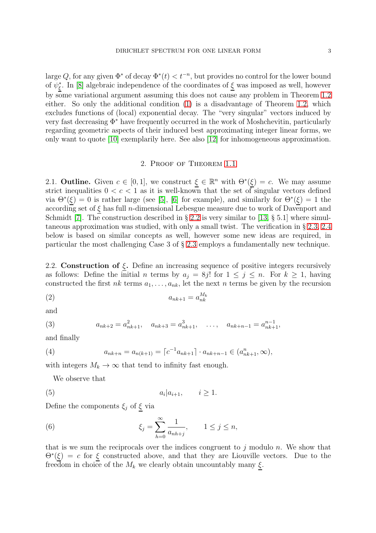large Q, for any given  $\Phi^*$  of decay  $\Phi^*(t) < t^{-n}$ , but provides no control for the lower bound of  $\psi_{\xi}^*$ . In [\[8\]](#page-7-8) algebraic independence of the coordinates of  $\underline{\xi}$  was imposed as well, however by some variational argument assuming this does not cause any problem in Theorem [1.2](#page-1-0) either. So only the additional condition [\(1\)](#page-1-1) is a disadvantage of Theorem [1.2,](#page-1-0) which excludes functions of (local) exponential decay. The "very singular" vectors induced by very fast decreasing Φ<sup>∗</sup> have frequently occurred in the work of Moshchevitin, particularly regarding geometric aspects of their induced best approximating integer linear forms, we only want to quote [\[10\]](#page-7-9) exemplarily here. See also [\[12\]](#page-7-10) for inhomogeneous approximation.

# 2. Proof of Theorem [1.1](#page-0-0)

2.1. **Outline.** Given  $c \in [0,1]$ , we construct  $\xi \in \mathbb{R}^n$  with  $\Theta^*(\xi) = c$ . We may assume strict inequalities  $0 < c < 1$  as it is well-known that the set of singular vectors defined via  $\Theta^*(\xi) = 0$  is rather large (see [\[5\]](#page-7-11), [\[6\]](#page-7-12) for example), and similarly for  $\Theta^*(\xi) = 1$  the according set of  $\xi$  has full *n*-dimensional Lebesgue measure due to work of Davenport and Schmidt [\[7\]](#page-7-13). The construction described in § [2.2](#page-2-0) is very similar to [\[13,](#page-7-1) § 5.1] where simultaneous approximation was studied, with only a small twist. The verification in § [2.3,](#page-3-0) [2.4](#page-5-0) below is based on similar concepts as well, however some new ideas are required, in particular the most challenging Case 3 of § [2.3](#page-3-0) employs a fundamentally new technique.

<span id="page-2-0"></span>2.2. **Construction of**  $\xi$ **.** Define an increasing sequence of positive integers recursively as follows: Define the initial n terms by  $a_i = 8j!$  for  $1 \leq j \leq n$ . For  $k \geq 1$ , having constructed the first  $nk$  terms  $a_1, \ldots, a_{nk}$ , let the next n terms be given by the recursion

<span id="page-2-2"></span>
$$
(2) \t\t\t a_{nk+1} = a_{nk}^{M_k}
$$

and

<span id="page-2-4"></span>(3) 
$$
a_{nk+2} = a_{nk+1}^2, \quad a_{nk+3} = a_{nk+1}^3, \quad \dots, \quad a_{nk+n-1} = a_{nk+1}^{n-1},
$$

and finally

<span id="page-2-3"></span>(4) 
$$
a_{nk+n} = a_{n(k+1)} = \lceil c^{-1} a_{nk+1} \rceil \cdot a_{nk+n-1} \in (a_{nk+1}^n, \infty),
$$

with integers  $M_k \to \infty$  that tend to infinity fast enough.

<span id="page-2-1"></span>We observe that

$$
(5) \t a_i|a_{i+1}, \t i \geq 1.
$$

Define the components  $\xi_j$  of  $\xi$  via

(6) 
$$
\xi_j = \sum_{h=0}^{\infty} \frac{1}{a_{nh+j}}, \qquad 1 \le j \le n,
$$

that is we sum the reciprocals over the indices congruent to  $j$  modulo  $n$ . We show that  $\Theta^*(\xi) = c$  for  $\xi$  constructed above, and that they are Liouville vectors. Due to the freedom in choice of the  $M_k$  we clearly obtain uncountably many  $\xi$ .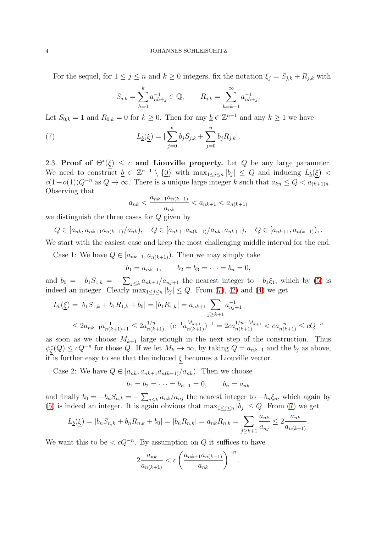For the sequel, for  $1 \leq j \leq n$  and  $k \geq 0$  integers, fix the notation  $\xi_j = S_{j,k} + R_{j,k}$  with

.

<span id="page-3-1"></span>
$$
S_{j,k} = \sum_{h=0}^{k} a_{nh+j}^{-1} \in \mathbb{Q}, \qquad R_{j,k} = \sum_{h=k+1}^{\infty} a_{nh+j}^{-1}
$$

Let  $S_{0,k} = 1$  and  $R_{0,k} = 0$  for  $k \geq 0$ . Then for any  $\underline{b} \in \mathbb{Z}^{n+1}$  and any  $k \geq 1$  we have

(7) 
$$
L_{\underline{b}}(\underline{\xi}) = |\sum_{j=0}^{n} b_j S_{j,k} + \sum_{j=0}^{n} b_j R_{j,k}|.
$$

<span id="page-3-0"></span>2.3. Proof of  $\Theta^*(\xi) \leq c$  and Liouville property. Let Q be any large parameter. We need to construct  $\underline{b} \in \mathbb{Z}^{n+1} \setminus \{ \underline{0} \}$  with  $\max_{1 \leq j \leq n} |b_j| \leq Q$  and inducing  $L_{\underline{b}}(\xi)$  <  $c(1+o(1))Q^{-n}$  as  $Q \to \infty$ . There is a unique large integer k such that  $a_{kn} \leq Q < a_{(k+1)n}$ . Observing that

$$
a_{nk} < \frac{a_{nk+1}a_{n(k-1)}}{a_{nk}} < a_{nk+1} < a_{n(k+1)}
$$

we distinguish the three cases for Q given by

$$
Q \in [a_{nk}, a_{nk+1}a_{n(k-1)}/a_{nk}), \quad Q \in [a_{nk+1}a_{n(k-1)}/a_{nk}, a_{nk+1}), \quad Q \in [a_{nk+1}, a_{n(k+1)}),
$$

We start with the easiest case and keep the most challenging middle interval for the end.

Case 1: We have  $Q \in [a_{nk+1}, a_{n(k+1)})$ . Then we may simply take

$$
b_1 = a_{nk+1},
$$
  $b_2 = b_3 = \cdots = b_n = 0,$ 

and  $b_0 = -b_1S_{1,k} = -\sum_{j\leq k} a_{nk+1}/a_{nj+1}$  the nearest integer to  $-b_1\xi_1$ , which by [\(5\)](#page-2-1) is indeed an integer. Clearly  $\max_{1 \leq j \leq n} |b_j| \leq Q$ . From [\(7\)](#page-3-1), [\(2\)](#page-2-2) and [\(4\)](#page-2-3) we get

$$
L_{\underline{b}}(\underline{\xi}) = |b_1 S_{1,k} + b_1 R_{1,k} + b_0| = |b_1 R_{1,k}| = a_{nk+1} \sum_{j \ge k+1} a_{nj+1}^{-1}
$$
  

$$
\le 2a_{nk+1}a_{n(k+1)+1}^{-1} \le 2a_{n(k+1)}^{1/n} \cdot (c^{-1}a_{n(k+1)}^{M_{k+1}})^{-1} = 2ca_{n(k+1)}^{1/n - M_{k+1}} < ca_{n(k+1)}^{-n} \le cQ^{-n}
$$

as soon as we choose  $M_{k+1}$  large enough in the next step of the construction. Thus  $\psi_{\xi}^{*}(Q) \leq cQ^{-n}$  for those Q. If we let  $M_{k} \to \infty$ , by taking  $Q = a_{nk+1}$  and the  $b_{j}$  as above, it is further easy to see that the induced  $\xi$  becomes a Liouville vector.

Case 2: We have  $Q \in [a_{nk}, a_{nk+1}a_{n(k-1)}/a_{nk})$ . Then we choose

$$
b_1 = b_2 = \cdots = b_{n-1} = 0
$$
,  $b_n = a_{nk}$ 

and finally  $b_0 = -b_n S_{n,k} = -\sum_{j\leq k} a_{nk}/a_{nj}$  the nearest integer to  $-b_n \xi_n$ , which again by [\(5\)](#page-2-1) is indeed an integer. It is again obvious that  $\max_{1 \leq j \leq n} |b_j| \leq Q$ . From [\(7\)](#page-3-1) we get

$$
L_{\underline{b}}(\underline{\xi}) = |b_n S_{n,k} + b_n R_{n,k} + b_0| = |b_n R_{n,k}| = a_{nk} R_{n,k} = \sum_{j \ge k+1} \frac{a_{nk}}{a_{nj}} \le 2 \frac{a_{nk}}{a_{n(k+1)}}.
$$

We want this to be  $\langle cQ^{-n}$ . By assumption on Q it suffices to have

$$
2\frac{a_{nk}}{a_{n(k+1)}} < c \left(\frac{a_{nk+1}a_{n(k-1)}}{a_{nk}}\right)^{-n}
$$

.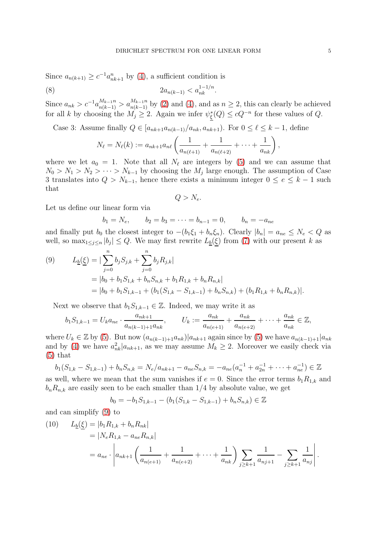Since  $a_{n(k+1)} \geq c^{-1} a_{nk+1}^n$  by [\(4\)](#page-2-3), a sufficient condition is

(8) 
$$
2a_{n(k-1)} < a_{nk}^{1-1/n}.
$$

Since  $a_{nk} > c^{-1}a_{n(k-1)}^{M_{k-1}n} > a_{n(k-1)}^{M_{k-1}n}$  by [\(2\)](#page-2-2) and [\(4\)](#page-2-3), and as  $n \ge 2$ , this can clearly be achieved for all k by choosing the  $M_j \geq 2$ . Again we infer  $\psi_{\xi}^*(Q) \leq cQ^{-n}$  for these values of Q.

Case 3: Assume finally  $Q \in [a_{nk+1}a_{n(k-1)}/a_{nk}, a_{nk+1})$ . For  $0 \leq \ell \leq k-1$ , define

<span id="page-4-2"></span>
$$
N_{\ell} = N_{\ell}(k) := a_{nk+1}a_{n\ell} \left( \frac{1}{a_{n(\ell+1)}} + \frac{1}{a_{n(\ell+2)}} + \cdots + \frac{1}{a_{nk}} \right),
$$

where we let  $a_0 = 1$ . Note that all  $N_{\ell}$  are integers by [\(5\)](#page-2-1) and we can assume that  $N_0 > N_1 > N_2 > \cdots > N_{k-1}$  by choosing the  $M_j$  large enough. The assumption of Case 3 translates into  $Q > N_{k-1}$ , hence there exists a minimum integer  $0 \le e \le k-1$  such that

$$
Q > N_e.
$$

Let us define our linear form via

$$
b_1 = N_e
$$
,  $b_2 = b_3 = \cdots = b_{n-1} = 0$ ,  $b_n = -a_{ne}$ 

and finally put  $b_0$  the closest integer to  $-(b_1\xi_1 + b_n\xi_n)$ . Clearly  $|b_n| = a_{ne} \le N_e < Q$  as well, so  $\max_{1 \leq j \leq n} |b_j| \leq Q$ . We may first rewrite  $L_{\underline{b}}(\underline{\xi})$  from [\(7\)](#page-3-1) with our present k as

<span id="page-4-0"></span>(9) 
$$
L_{\underline{b}}(\underline{\xi}) = |\sum_{j=0}^{n} b_j S_{j,k} + \sum_{j=0}^{n} b_j R_{j,k}|
$$
  
=  $|b_0 + b_1 S_{1,k} + b_n S_{n,k} + b_1 R_{1,k} + b_n R_{n,k}|$   
=  $|b_0 + b_1 S_{1,k-1} + (b_1 (S_{1,k} - S_{1,k-1}) + b_n S_{n,k}) + (b_1 R_{1,k} + b_n R_{n,k})|.$ 

Next we observe that  $b_1S_{1,k-1} \in \mathbb{Z}$ . Indeed, we may write it as

$$
b_1 S_{1,k-1} = U_k a_{ne} \cdot \frac{a_{nk+1}}{a_{n(k-1)+1} a_{nk}}, \qquad U_k := \frac{a_{nk}}{a_{n(k+1)}} + \frac{a_{nk}}{a_{n(k+2)}} + \dots + \frac{a_{nk}}{a_{nk}} \in \mathbb{Z},
$$

where  $U_k \in \mathbb{Z}$  by [\(5\)](#page-2-1). But now  $(a_{n(k-1)+1}a_{nk})|a_{nk+1}$  again since by (5) we have  $a_{n(k-1)+1}|a_{nk}$ and by [\(4\)](#page-2-3) we have  $a_{nk}^2|a_{nk+1}$ , as we may assume  $M_k \geq 2$ . Moreover we easily check via  $(5)$  that

$$
b_1(S_{1,k} - S_{1,k-1}) + b_n S_{n,k} = N_e/a_{nk+1} - a_{ne} S_{n,k} = -a_{ne}(a_n^{-1} + a_{2n}^{-1} + \dots + a_{ne}^{-1}) \in \mathbb{Z}
$$

as well, where we mean that the sum vanishes if  $e = 0$ . Since the error terms  $b_1R_{1,k}$  and  $b_nR_{n,k}$  are easily seen to be each smaller than  $1/4$  by absolute value, we get

$$
b_0 = -b_1 S_{1,k-1} - (b_1 (S_{1,k} - S_{1,k-1}) + b_n S_{n,k}) \in \mathbb{Z}
$$

and can simplify [\(9\)](#page-4-0) to

<span id="page-4-1"></span>(10) 
$$
L_{\underline{b}}(\underline{\xi}) = |b_1 R_{1,k} + b_n R_{nk}|
$$
  
=  $|N_e R_{1,k} - a_{ne} R_{n,k}|$   
=  $a_{ne} \cdot \left| a_{nk+1} \left( \frac{1}{a_{n(e+1)}} + \frac{1}{a_{n(e+2)}} + \dots + \frac{1}{a_{nk}} \right) \sum_{j \ge k+1} \frac{1}{a_{nj+1}} - \sum_{j \ge k+1} \frac{1}{a_{nj}} \right|.$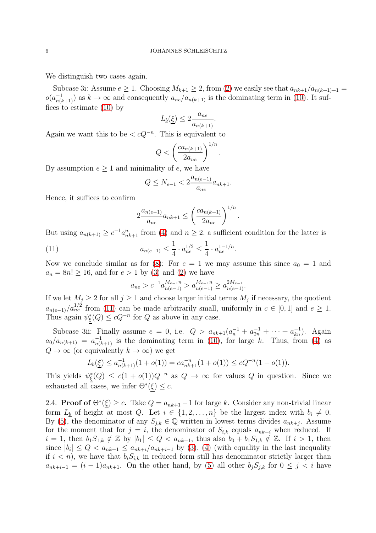We distinguish two cases again.

Subcase 3i: Assume  $e \geq 1$ . Choosing  $M_{k+1} \geq 2$ , from [\(2\)](#page-2-2) we easily see that  $a_{nk+1}/a_{n(k+1)+1} =$  $o(a_{n(k+1)}^{-1})$  as  $k \to \infty$  and consequently  $a_{ne}/a_{n(k+1)}$  is the dominating term in [\(10\)](#page-4-1). It suffices to estimate [\(10\)](#page-4-1) by

$$
L_{\underline{b}}(\underline{\xi}) \le 2 \frac{a_{ne}}{a_{n(k+1)}}.
$$

Again we want this to be  $\langle cQ^{-n}$ . This is equivalent to

$$
Q < \left(\frac{ca_{n(k+1)}}{2a_{ne}}\right)^{1/n}.
$$

By assumption  $e \geq 1$  and minimality of e, we have

$$
Q \le N_{e-1} < 2\frac{a_{n(e-1)}}{a_{ne}}a_{nk+1}.
$$

Hence, it suffices to confirm

$$
2\frac{a_{n(e-1)}}{a_{ne}}a_{nk+1} \le \left(\frac{ca_{n(k+1)}}{2a_{ne}}\right)^{1/n}
$$

.

But using  $a_{n(k+1)} \geq c^{-1} a_{nk+1}^n$  from [\(4\)](#page-2-3) and  $n \geq 2$ , a sufficient condition for the latter is

(11) 
$$
a_{n(e-1)} \leq \frac{1}{4} \cdot a_{ne}^{1/2} \leq \frac{1}{4} \cdot a_{ne}^{1-1/n}.
$$

Now we conclude similar as for [\(8\)](#page-4-2): For  $e = 1$  we may assume this since  $a_0 = 1$  and  $a_n = 8n! \ge 16$ , and for  $e > 1$  by [\(3\)](#page-2-4) and [\(2\)](#page-2-2) we have

<span id="page-5-1"></span>
$$
a_{ne} > c^{-1}a_{n(e-1)}^{M_{e-1}n} > a_{n(e-1)}^{M_{e-1}n} \ge a_{n(e-1)}^{2M_{e-1}}.
$$

If we let  $M_j \geq 2$  for all  $j \geq 1$  and choose larger initial terms  $M_j$  if necessary, the quotient  $a_{n(e-1)}/a_{ne}^{1/2}$  from [\(11\)](#page-5-1) can be made arbitrarily small, uniformly in  $c \in [0,1]$  and  $e \geq 1$ . Thus again  $\psi_{\xi}^{*}(Q) \leq cQ^{-n}$  for Q as above in any case.

Subcase 3ii: Finally assume  $e = 0$ , i.e.  $Q > a_{nk+1}(a_n^{-1} + a_{2n}^{-1} + \cdots + a_{kn}^{-1})$ . Again  $a_0/a_{n(k+1)} = a_{n(k+1)}^{-1}$  is the dominating term in [\(10\)](#page-4-1), for large k. Thus, from [\(4\)](#page-2-3) as  $Q \to \infty$  (or equivalently  $k \to \infty$ ) we get

$$
L_{\underline{b}}(\underline{\xi}) \le a_{n(k+1)}^{-1}(1+o(1)) = ca_{nk+1}^{-n}(1+o(1)) \le cQ^{-n}(1+o(1)).
$$

This yields  $\psi_{\xi}^{*}(Q) \leq c(1 + o(1))Q^{-n}$  as  $Q \to \infty$  for values Q in question. Since we exhausted all cases, we infer  $\Theta^*(\xi) \leq c$ .

<span id="page-5-0"></span>2.4. **Proof of**  $\Theta^*(\xi) \geq c$ . Take  $Q = a_{nk+1} - 1$  for large k. Consider any non-trivial linear form  $L_b$  of height at most Q. Let  $i \in \{1, 2, ..., n\}$  be the largest index with  $b_i \neq 0$ . By [\(5\)](#page-2-1), the denominator of any  $S_{j,k} \in \mathbb{Q}$  written in lowest terms divides  $a_{nk+j}$ . Assume for the moment that for  $j = i$ , the denominator of  $S_{i,k}$  equals  $a_{nk+i}$  when reduced. If  $i = 1$ , then  $b_1S_{1,k} \notin \mathbb{Z}$  by  $|b_1| \leq Q < a_{nk+1}$ , thus also  $b_0 + b_1S_{1,k} \notin \mathbb{Z}$ . If  $i > 1$ , then since  $|b_i| \leq Q < a_{nk+1} \leq a_{nk+i}/a_{nk+i-1}$  by [\(3\)](#page-2-4), [\(4\)](#page-2-3) (with equality in the last inequality if  $i < n$ , we have that  $b_i S_{i,k}$  in reduced form still has denominator strictly larger than  $a_{nk+i-1} = (i-1)a_{nk+1}$ . On the other hand, by [\(5\)](#page-2-1) all other  $b_j S_{j,k}$  for  $0 \leq j < i$  have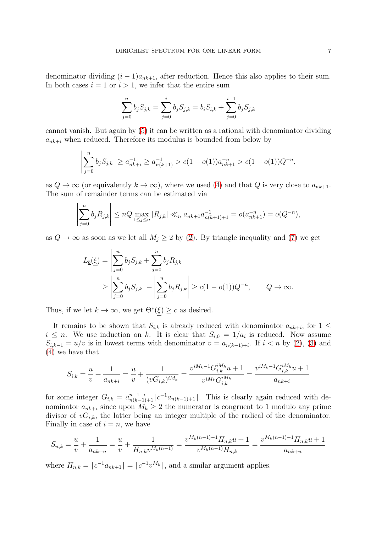denominator dividing  $(i-1)a_{nk+1}$ , after reduction. Hence this also applies to their sum. In both cases  $i = 1$  or  $i > 1$ , we infer that the entire sum

$$
\sum_{j=0}^{n} b_j S_{j,k} = \sum_{j=0}^{i} b_j S_{j,k} = b_i S_{i,k} + \sum_{j=0}^{i-1} b_j S_{j,k}
$$

cannot vanish. But again by [\(5\)](#page-2-1) it can be written as a rational with denominator dividing  $a_{nk+i}$  when reduced. Therefore its modulus is bounded from below by

$$
\left| \sum_{j=0}^{n} b_j S_{j,k} \right| \ge a_{nk+i}^{-1} \ge a_{n(k+1)}^{-1} > c(1 - o(1)) a_{nk+1}^{-n} > c(1 - o(1)) Q^{-n},
$$

as  $Q \to \infty$  (or equivalently  $k \to \infty$ ), where we used [\(4\)](#page-2-3) and that Q is very close to  $a_{nk+1}$ . The sum of remainder terms can be estimated via

$$
\left|\sum_{j=0}^n b_j R_{j,k}\right| \leq nQ \max_{1 \leq j \leq n} |R_{j,k}| \ll_n a_{nk+1} a_{n(k+1)+1}^{-1} = o(a_{nk+1}^{-n}) = o(Q^{-n}),
$$

as  $Q \to \infty$  as soon as we let all  $M_i \geq 2$  by [\(2\)](#page-2-2). By triangle inequality and [\(7\)](#page-3-1) we get

$$
L_{\underline{b}}(\underline{\xi}) = \left| \sum_{j=0}^{n} b_{j} S_{j,k} + \sum_{j=0}^{n} b_{j} R_{j,k} \right|
$$
  
 
$$
\geq \left| \sum_{j=0}^{n} b_{j} S_{j,k} \right| - \left| \sum_{j=0}^{n} b_{j} R_{j,k} \right| \geq c(1 - o(1))Q^{-n}, \qquad Q \to \infty.
$$

Thus, if we let  $k \to \infty$ , we get  $\Theta^*(\xi) \geq c$  as desired.

It remains to be shown that  $S_{i,k}$  is already reduced with denominator  $a_{nk+i}$ , for  $1 \leq$  $i \leq n$ . We use induction on k. It is clear that  $S_{i,0} = 1/a_i$  is reduced. Now assume  $S_{i,k-1} = u/v$  is in lowest terms with denominator  $v = a_{n(k-1)+i}$ . If  $i < n$  by [\(2\)](#page-2-2), [\(3\)](#page-2-4) and [\(4\)](#page-2-3) we have that

$$
S_{i,k} = \frac{u}{v} + \frac{1}{a_{nk+i}} = \frac{u}{v} + \frac{1}{(vG_{i,k})^{iM_k}} = \frac{v^{iM_k - 1}G_{i,k}^{iM_k}u + 1}{v^{iM_k}G_{i,k}^{iM_k}} = \frac{v^{iM_k - 1}G_{i,k}^{iM_k}u + 1}{a_{nk+i}}
$$

for some integer  $G_{i,k} = a_{n(k-1)+1}^{n-1-i} [c^{-1}a_{n(k-1)+1}]$ . This is clearly again reduced with denominator  $a_{nk+i}$  since upon  $M_k \geq 2$  the numerator is congruent to 1 modulo any prime divisor of  $vG_{i,k}$ , the latter being an integer multiple of the radical of the denominator. Finally in case of  $i = n$ , we have

$$
S_{n,k} = \frac{u}{v} + \frac{1}{a_{nk+n}} = \frac{u}{v} + \frac{1}{H_{n,k}v^{M_k(n-1)}} = \frac{v^{M_k(n-1)-1}H_{n,k}u + 1}{v^{M_k(n-1)}H_{n,k}} = \frac{v^{M_k(n-1)-1}H_{n,k}u + 1}{a_{nk+n}}
$$

where  $H_{n,k} = \lceil c^{-1} a_{nk+1} \rceil = \lceil c^{-1} v^{M_k} \rceil$ , and a similar argument applies.